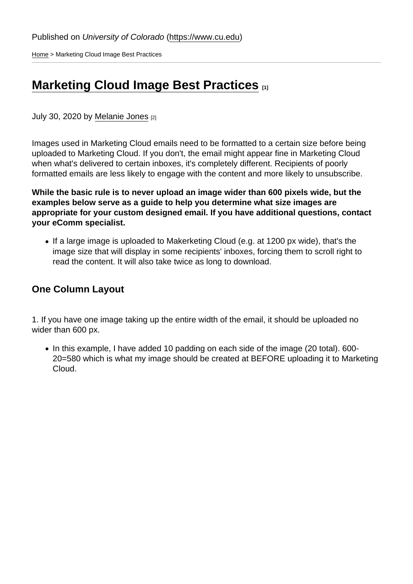[Home](https://www.cu.edu/) > Marketing Cloud Image Best Practices

# [Marketing Cloud Image Best Practices](https://www.cu.edu/blog/ecomm-wiki/marketing-cloud-image-best-practices) [1]

July 30, 2020 by [Melanie Jones](https://www.cu.edu/blog/ecomm-wiki/author/39) [2]

Images used in Marketing Cloud emails need to be formatted to a certain size before being uploaded to Marketing Cloud. If you don't, the email might appear fine in Marketing Cloud when what's delivered to certain inboxes, it's completely different. Recipients of poorly formatted emails are less likely to engage with the content and more likely to unsubscribe.

While the basic rule is to never upload an image wider than 600 pixels wide, but the examples below serve as a guide to help you determine what size images are appropriate for your custom designed email. If you have additional questions, contact your eComm specialist.

• If a large image is uploaded to Makerketing Cloud (e.g. at 1200 px wide), that's the image size that will display in some recipients' inboxes, forcing them to scroll right to read the content. It will also take twice as long to download.

One Column Layout

1. If you have one image taking up the entire width of the email, it should be uploaded no wider than 600 px.

• In this example, I have added 10 padding on each side of the image (20 total). 600-20=580 which is what my image should be created at BEFORE uploading it to Marketing Cloud.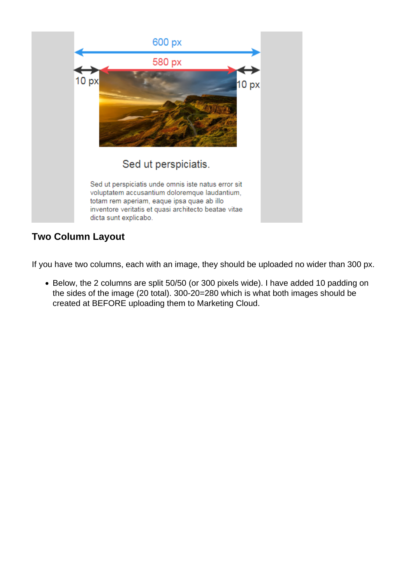

### **Two Column Layout**

If you have two columns, each with an image, they should be uploaded no wider than 300 px.

Below, the 2 columns are split 50/50 (or 300 pixels wide). I have added 10 padding on the sides of the image (20 total). 300-20=280 which is what both images should be created at BEFORE uploading them to Marketing Cloud.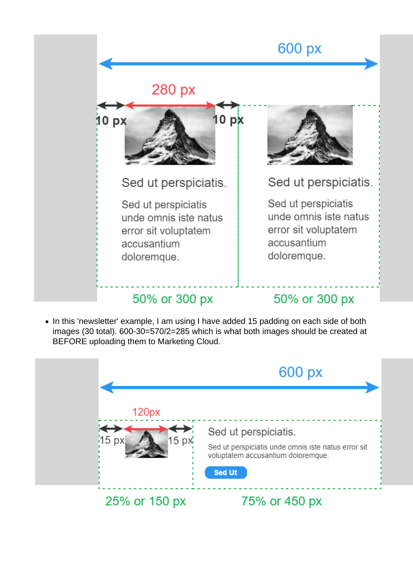

• In this 'newsletter' example, I am using I have added 15 padding on each side of both images (30 total). 600-30=570/2=285 which is what both images should be created at BEFORE uploading them to Marketing Cloud.

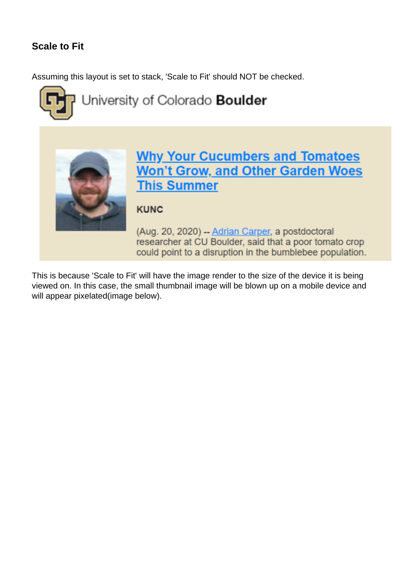### **Scale to Fit**

Assuming this layout is set to stack, 'Scale to Fit' should NOT be checked.



# University of Colorado Boulder



## **Why Your Cucumbers and Tomatoes Won't Grow, and Other Garden Woes This Summer**

### **KUNC**

(Aug. 20, 2020) - Adrian Carper, a postdoctoral researcher at CU Boulder, said that a poor tomato crop could point to a disruption in the bumblebee population.

This is because 'Scale to Fit' will have the image render to the size of the device it is being viewed on. In this case, the small thumbnail image will be blown up on a mobile device and will appear pixelated(image below).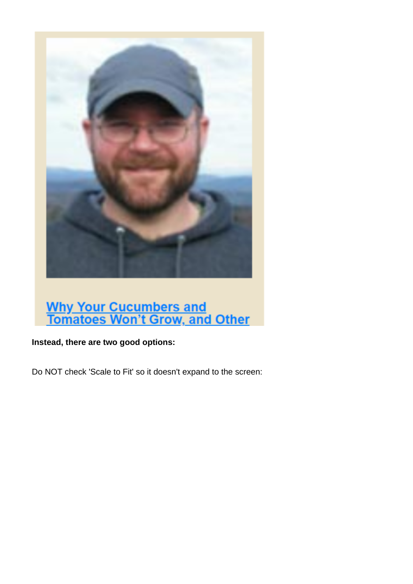

# **Why Your Cucumbers and<br>Tomatoes Won't Grow, and Other**

**Instead, there are two good options:**

Do NOT check 'Scale to Fit' so it doesn't expand to the screen: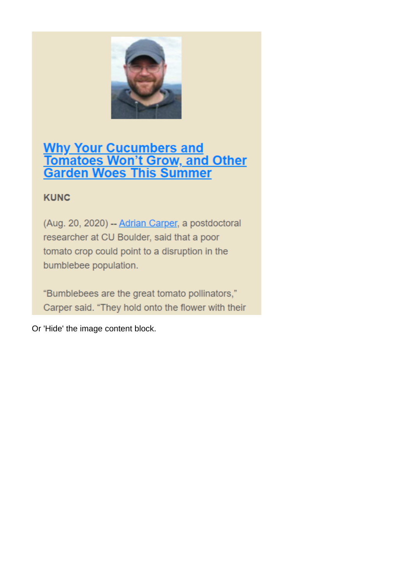

# **Why Your Cucumbers and<br>Tomatoes Won't Grow, and Other<br>Garden Woes This Summer**

### **KUNC**

(Aug. 20, 2020) -- Adrian Carper, a postdoctoral researcher at CU Boulder, said that a poor tomato crop could point to a disruption in the bumblebee population.

"Bumblebees are the great tomato pollinators," Carper said. "They hold onto the flower with their

Or 'Hide' the image content block.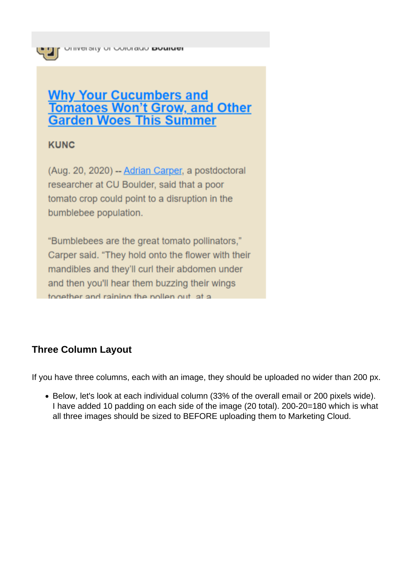### **Why Your Cucumbers and Tomatoes Won't Grow, and Other Garden Woes This Summer**

### **KUNC**

(Aug. 20, 2020) - Adrian Carper, a postdoctoral researcher at CU Boulder, said that a poor tomato crop could point to a disruption in the bumblebee population.

"Bumblebees are the great tomato pollinators," Carper said. "They hold onto the flower with their mandibles and they'll curl their abdomen under and then you'll hear them buzzing their wings together and raining the pollen out at a

### **Three Column Layout**

If you have three columns, each with an image, they should be uploaded no wider than 200 px.

Below, let's look at each individual column (33% of the overall email or 200 pixels wide). I have added 10 padding on each side of the image (20 total). 200-20=180 which is what all three images should be sized to BEFORE uploading them to Marketing Cloud.

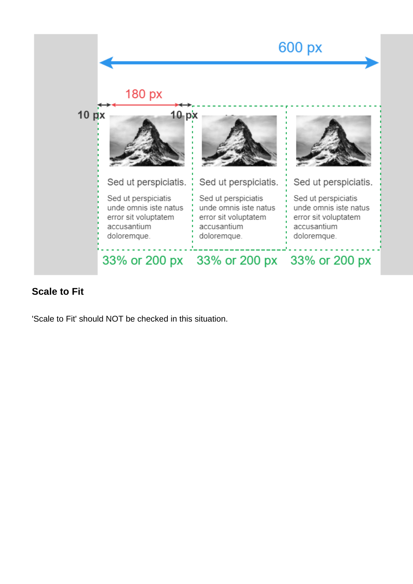

### **Scale to Fit**

'Scale to Fit' should NOT be checked in this situation.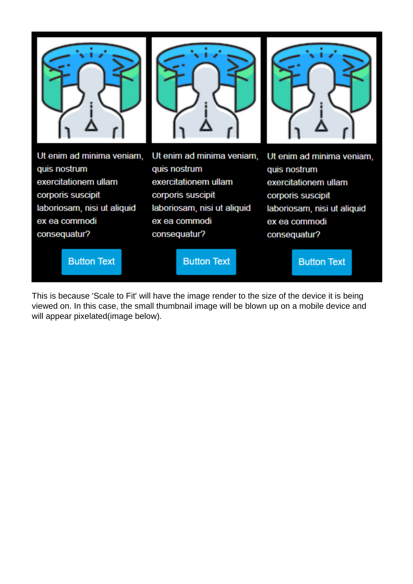

**Button Text** 

**Button Text** 

**Button Text** 

This is because 'Scale to Fit' will have the image render to the size of the device it is being viewed on. In this case, the small thumbnail image will be blown up on a mobile device and will appear pixelated(image below).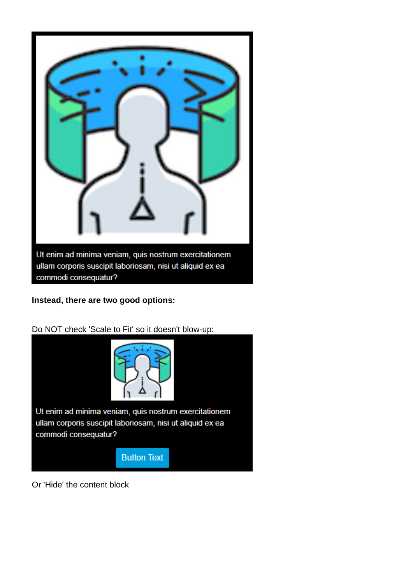

**Instead, there are two good options:**



Do NOT check 'Scale to Fit' so it doesn't blow-up:

Or 'Hide' the content block